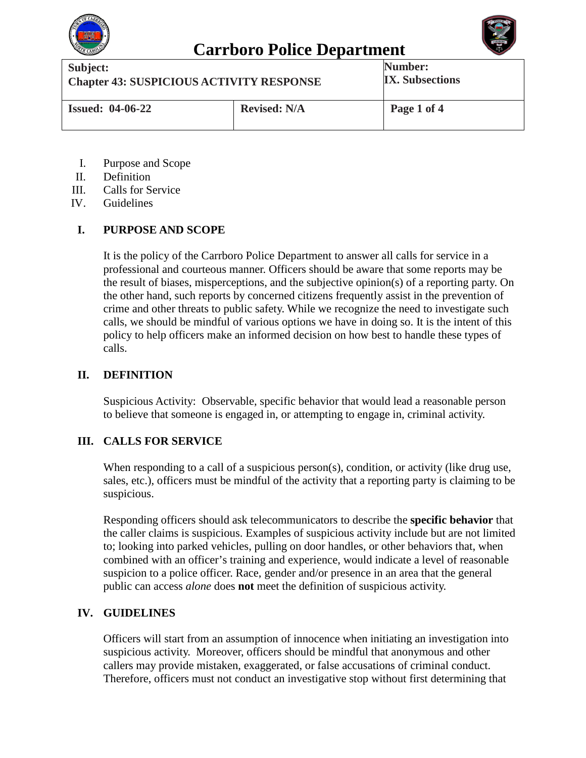



| Subject:                                        |                     | Number:                |
|-------------------------------------------------|---------------------|------------------------|
| <b>Chapter 43: SUSPICIOUS ACTIVITY RESPONSE</b> |                     | <b>IX.</b> Subsections |
| <b>Issued: 04-06-22</b>                         | <b>Revised: N/A</b> | Page 1 of 4            |

- I. Purpose and Scope
- II. Definition
- III. Calls for Service
- IV. Guidelines

### **I. PURPOSE AND SCOPE**

It is the policy of the Carrboro Police Department to answer all calls for service in a professional and courteous manner. Officers should be aware that some reports may be the result of biases, misperceptions, and the subjective opinion(s) of a reporting party. On the other hand, such reports by concerned citizens frequently assist in the prevention of crime and other threats to public safety. While we recognize the need to investigate such calls, we should be mindful of various options we have in doing so. It is the intent of this policy to help officers make an informed decision on how best to handle these types of calls.

### **II. DEFINITION**

Suspicious Activity: Observable, specific behavior that would lead a reasonable person to believe that someone is engaged in, or attempting to engage in, criminal activity.

### **III. CALLS FOR SERVICE**

When responding to a call of a suspicious person(s), condition, or activity (like drug use, sales, etc.), officers must be mindful of the activity that a reporting party is claiming to be suspicious.

Responding officers should ask telecommunicators to describe the **specific behavior** that the caller claims is suspicious. Examples of suspicious activity include but are not limited to; looking into parked vehicles, pulling on door handles, or other behaviors that, when combined with an officer's training and experience, would indicate a level of reasonable suspicion to a police officer. Race, gender and/or presence in an area that the general public can access *alone* does **not** meet the definition of suspicious activity.

### **IV. GUIDELINES**

Officers will start from an assumption of innocence when initiating an investigation into suspicious activity. Moreover, officers should be mindful that anonymous and other callers may provide mistaken, exaggerated, or false accusations of criminal conduct. Therefore, officers must not conduct an investigative stop without first determining that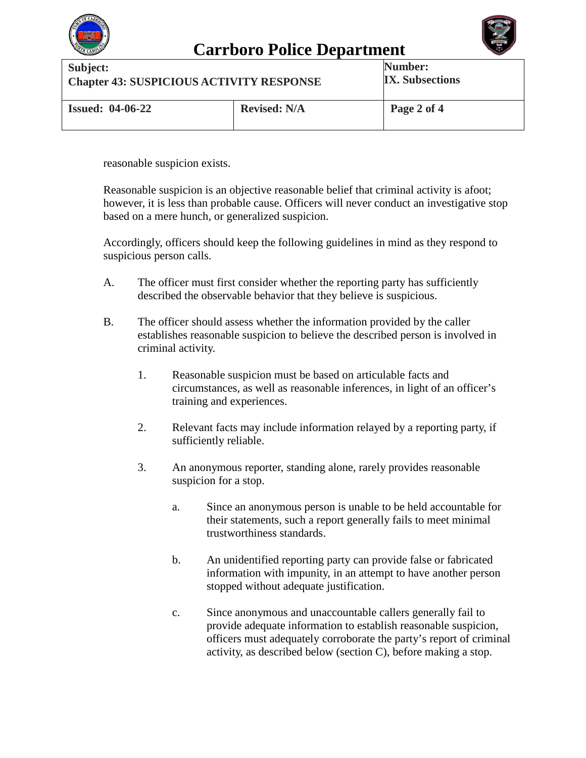

### **Carrboro Police Department**



**Subject: Chapter 43: SUSPICIOUS ACTIVITY RESPONSE Number: IX. Subsections Issued: 04-06-22 Revised: N/A Page 2 of 4**

reasonable suspicion exists.

Reasonable suspicion is an objective reasonable belief that criminal activity is afoot; however, it is less than probable cause. Officers will never conduct an investigative stop based on a mere hunch, or generalized suspicion.

Accordingly, officers should keep the following guidelines in mind as they respond to suspicious person calls.

- A. The officer must first consider whether the reporting party has sufficiently described the observable behavior that they believe is suspicious.
- B. The officer should assess whether the information provided by the caller establishes reasonable suspicion to believe the described person is involved in criminal activity.
	- 1. Reasonable suspicion must be based on articulable facts and circumstances, as well as reasonable inferences, in light of an officer's training and experiences.
	- 2. Relevant facts may include information relayed by a reporting party, if sufficiently reliable.
	- 3. An anonymous reporter, standing alone, rarely provides reasonable suspicion for a stop.
		- a. Since an anonymous person is unable to be held accountable for their statements, such a report generally fails to meet minimal trustworthiness standards.
		- b. An unidentified reporting party can provide false or fabricated information with impunity, in an attempt to have another person stopped without adequate justification.
		- c. Since anonymous and unaccountable callers generally fail to provide adequate information to establish reasonable suspicion, officers must adequately corroborate the party's report of criminal activity, as described below (section C), before making a stop.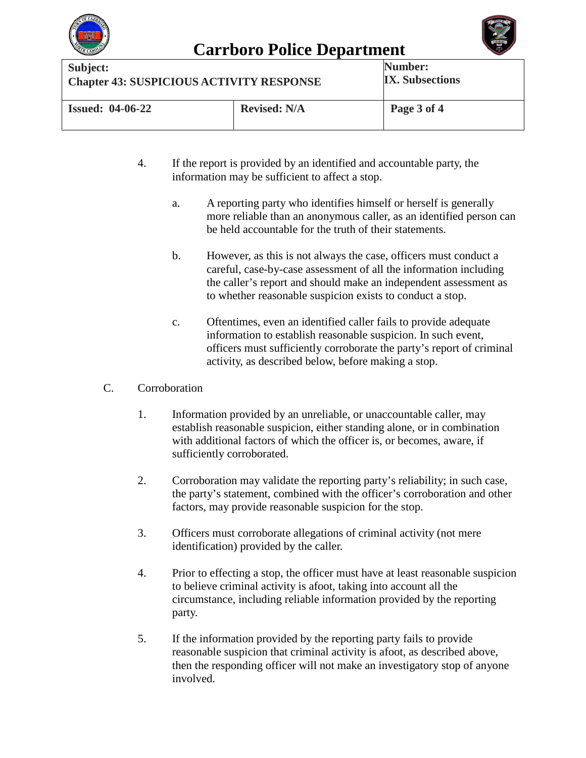

# **Carrboro Police Department**



**Subject: Chapter 43: SUSPICIOUS ACTIVITY RESPONSE Number: IX. Subsections Issued: 04-06-22 Revised: N/A Page 3 of 4**

- 4. If the report is provided by an identified and accountable party, the information may be sufficient to affect a stop.
	- a. A reporting party who identifies himself or herself is generally more reliable than an anonymous caller, as an identified person can be held accountable for the truth of their statements.
	- b. However, as this is not always the case, officers must conduct a careful, case-by-case assessment of all the information including the caller's report and should make an independent assessment as to whether reasonable suspicion exists to conduct a stop.
	- c. Oftentimes, even an identified caller fails to provide adequate information to establish reasonable suspicion. In such event, officers must sufficiently corroborate the party's report of criminal activity, as described below, before making a stop.

#### C. Corroboration

- 1. Information provided by an unreliable, or unaccountable caller, may establish reasonable suspicion, either standing alone, or in combination with additional factors of which the officer is, or becomes, aware, if sufficiently corroborated.
- 2. Corroboration may validate the reporting party's reliability; in such case, the party's statement, combined with the officer's corroboration and other factors, may provide reasonable suspicion for the stop.
- 3. Officers must corroborate allegations of criminal activity (not mere identification) provided by the caller.
- 4. Prior to effecting a stop, the officer must have at least reasonable suspicion to believe criminal activity is afoot, taking into account all the circumstance, including reliable information provided by the reporting party.
- 5. If the information provided by the reporting party fails to provide reasonable suspicion that criminal activity is afoot, as described above, then the responding officer will not make an investigatory stop of anyone involved.